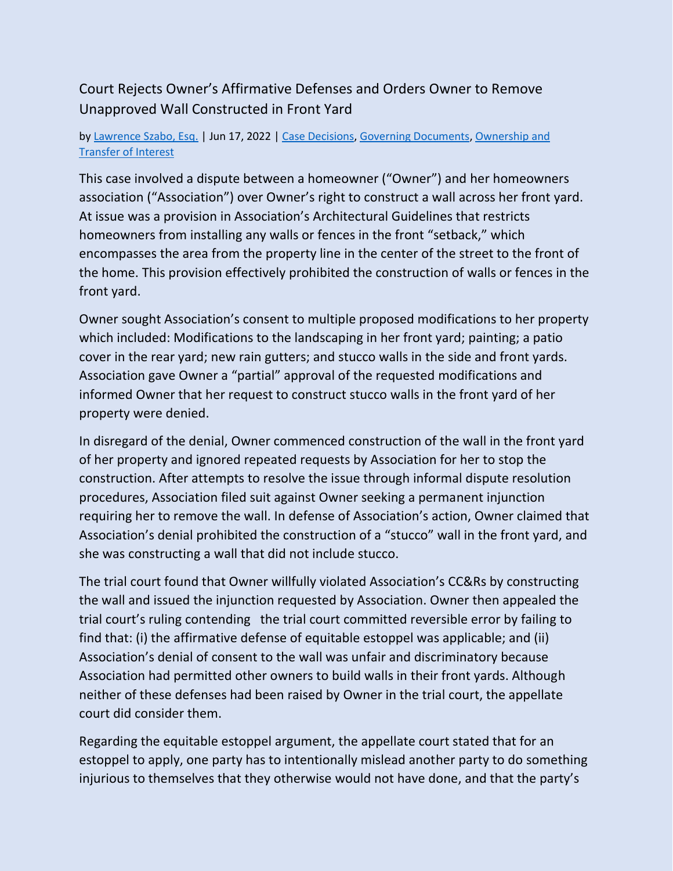## Court Rejects Owner's Affirmative Defenses and Orders Owner to Remove Unapproved Wall Constructed in Front Yard

## by [Lawrence Szabo, Esq.](https://www.hoamemberservices.com/author/larry/) | Jun 17, 2022 | [Case Decisions,](https://www.hoamemberservices.com/category/case-decisions/) [Governing Documents,](https://www.hoamemberservices.com/category/governing-documents/) [Ownership and](https://www.hoamemberservices.com/category/ownership-and-transfer-of-interest/)  [Transfer of Interest](https://www.hoamemberservices.com/category/ownership-and-transfer-of-interest/)

This case involved a dispute between a homeowner ("Owner") and her homeowners association ("Association") over Owner's right to construct a wall across her front yard. At issue was a provision in Association's Architectural Guidelines that restricts homeowners from installing any walls or fences in the front "setback," which encompasses the area from the property line in the center of the street to the front of the home. This provision effectively prohibited the construction of walls or fences in the front yard.

Owner sought Association's consent to multiple proposed modifications to her property which included: Modifications to the landscaping in her front yard; painting; a patio cover in the rear yard; new rain gutters; and stucco walls in the side and front yards. Association gave Owner a "partial" approval of the requested modifications and informed Owner that her request to construct stucco walls in the front yard of her property were denied.

In disregard of the denial, Owner commenced construction of the wall in the front yard of her property and ignored repeated requests by Association for her to stop the construction. After attempts to resolve the issue through informal dispute resolution procedures, Association filed suit against Owner seeking a permanent injunction requiring her to remove the wall. In defense of Association's action, Owner claimed that Association's denial prohibited the construction of a "stucco" wall in the front yard, and she was constructing a wall that did not include stucco.

The trial court found that Owner willfully violated Association's CC&Rs by constructing the wall and issued the injunction requested by Association. Owner then appealed the trial court's ruling contending the trial court committed reversible error by failing to find that: (i) the affirmative defense of equitable estoppel was applicable; and (ii) Association's denial of consent to the wall was unfair and discriminatory because Association had permitted other owners to build walls in their front yards. Although neither of these defenses had been raised by Owner in the trial court, the appellate court did consider them.

Regarding the equitable estoppel argument, the appellate court stated that for an estoppel to apply, one party has to intentionally mislead another party to do something injurious to themselves that they otherwise would not have done, and that the party's